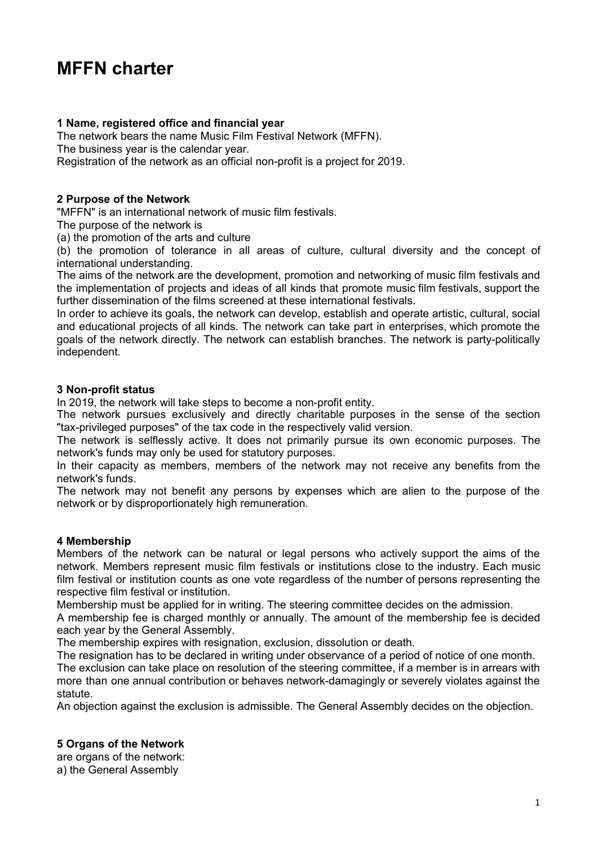# **MFFN charter**

# **1 Name, registered office and financial year**

The network bears the name Music Film Festival Network (MFFN).

The business year is the calendar year.

Registration of the network as an official non-profit is a project for 2019.

## **2 Purpose of the Network**

"MFFN" is an international network of music film festivals.

The purpose of the network is

(a) the promotion of the arts and culture

(b) the promotion of tolerance in all areas of culture, cultural diversity and the concept of international understanding.

The aims of the network are the development, promotion and networking of music film festivals and the implementation of projects and ideas of all kinds that promote music film festivals, support the further dissemination of the films screened at these international festivals.

In order to achieve its goals, the network can develop, establish and operate artistic, cultural, social and educational projects of all kinds. The network can take part in enterprises, which promote the goals of the network directly. The network can establish branches. The network is party-politically independent.

#### **3 Non-profit status**

In 2019, the network will take steps to become a non-profit entity.

The network pursues exclusively and directly charitable purposes in the sense of the section "tax-privileged purposes" of the tax code in the respectively valid version.

The network is selflessly active. It does not primarily pursue its own economic purposes. The network's funds may only be used for statutory purposes.

In their capacity as members, members of the network may not receive any benefits from the network's funds.

The network may not benefit any persons by expenses which are alien to the purpose of the network or by disproportionately high remuneration.

#### **4 Membership**

Members of the network can be natural or legal persons who actively support the aims of the network. Members represent music film festivals or institutions close to the industry. Each music film festival or institution counts as one vote regardless of the number of persons representing the respective film festival or institution.

Membership must be applied for in writing. The steering committee decides on the admission.

A membership fee is charged monthly or annually. The amount of the membership fee is decided each year by the General Assembly.

The membership expires with resignation, exclusion, dissolution or death.

The resignation has to be declared in writing under observance of a period of notice of one month.

The exclusion can take place on resolution of the steering committee, if a member is in arrears with more than one annual contribution or behaves network-damagingly or severely violates against the statute.

An objection against the exclusion is admissible. The General Assembly decides on the objection.

# **5 Organs of the Network**

are organs of the network: a) the General Assembly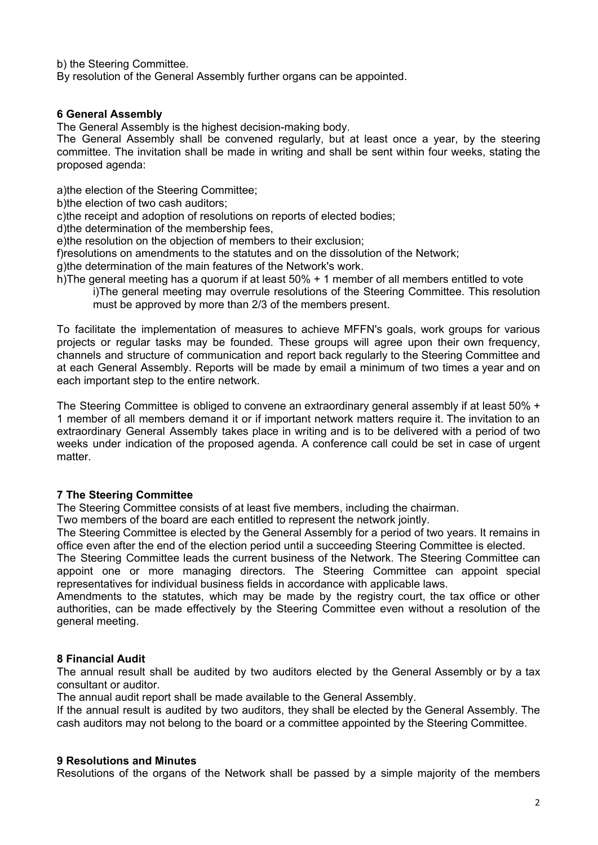b) the Steering Committee.

By resolution of the General Assembly further organs can be appointed.

## **6 General Assembly**

The General Assembly is the highest decision-making body.

The General Assembly shall be convened regularly, but at least once a year, by the steering committee. The invitation shall be made in writing and shall be sent within four weeks, stating the proposed agenda:

a)the election of the Steering Committee;

b)the election of two cash auditors;

c)the receipt and adoption of resolutions on reports of elected bodies;

d)the determination of the membership fees,

e)the resolution on the objection of members to their exclusion;

f)resolutions on amendments to the statutes and on the dissolution of the Network;

g)the determination of the main features of the Network's work.

h)The general meeting has a quorum if at least 50% + 1 member of all members entitled to vote

i)The general meeting may overrule resolutions of the Steering Committee. This resolution must be approved by more than 2/3 of the members present.

To facilitate the implementation of measures to achieve MFFN's goals, work groups for various projects or regular tasks may be founded. These groups will agree upon their own frequency, channels and structure of communication and report back regularly to the Steering Committee and at each General Assembly. Reports will be made by email a minimum of two times a year and on each important step to the entire network.

The Steering Committee is obliged to convene an extraordinary general assembly if at least 50% + 1 member of all members demand it or if important network matters require it. The invitation to an extraordinary General Assembly takes place in writing and is to be delivered with a period of two weeks under indication of the proposed agenda. A conference call could be set in case of urgent matter.

# **7 The Steering Committee**

The Steering Committee consists of at least five members, including the chairman.

Two members of the board are each entitled to represent the network jointly.

The Steering Committee is elected by the General Assembly for a period of two years. It remains in office even after the end of the election period until a succeeding Steering Committee is elected.

The Steering Committee leads the current business of the Network. The Steering Committee can appoint one or more managing directors. The Steering Committee can appoint special representatives for individual business fields in accordance with applicable laws.

Amendments to the statutes, which may be made by the registry court, the tax office or other authorities, can be made effectively by the Steering Committee even without a resolution of the general meeting.

# **8 Financial Audit**

The annual result shall be audited by two auditors elected by the General Assembly or by a tax consultant or auditor.

The annual audit report shall be made available to the General Assembly.

If the annual result is audited by two auditors, they shall be elected by the General Assembly. The cash auditors may not belong to the board or a committee appointed by the Steering Committee.

#### **9 Resolutions and Minutes**

Resolutions of the organs of the Network shall be passed by a simple majority of the members